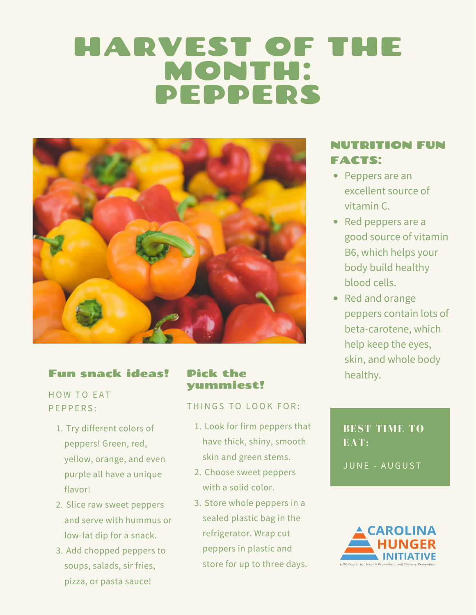# HARVEST OF THE MONTH: PEPPERS



## Fun snack ideas!

HOW TO EAT PEPPERS:

- 1. Try different colors of peppers! Green, red, yellow, orange, and even purple all have a unique flavor!
- 2. Slice raw sweet peppers and serve with hummus or low-fat dip for a snack.
- 3. Add chopped peppers to soups, salads, sir fries, pizza, or pasta sauce!

#### Pick the yummiest!

#### THINGS TO LOOK FOR:

- 1. Look for firm peppers that have thick, shiny, smooth skin and green stems.
- 2. Choose sweet peppers with a solid color.
- Store whole peppers in a 3.sealed plastic bag in the refrigerator. Wrap cut peppers in plastic and store for up to three days.

# NUTRITION FUN FACTS:

- Peppers are an excellent source of vitamin C.
- Red peppers are a good source of vitamin B6, which helps your body build healthy blood cells.
- Red and orange peppers contain lots of beta-carotene, which help keep the eyes, skin, and whole body healthy.

# **BEST TIME TO EAT:**

JUNE - AUGUST